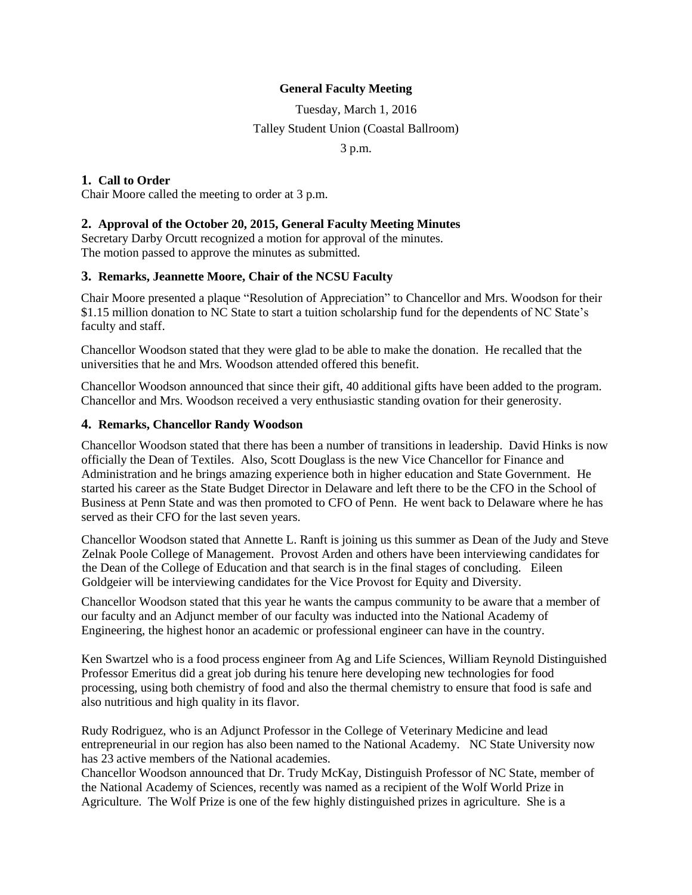# **General Faculty Meeting**

Tuesday, March 1, 2016 Talley Student Union (Coastal Ballroom) 3 p.m.

**1. Call to Order**

Chair Moore called the meeting to order at 3 p.m.

# **2. Approval of the October 20, 2015, General Faculty Meeting Minutes**

Secretary Darby Orcutt recognized a motion for approval of the minutes. The motion passed to approve the minutes as submitted.

# **3. Remarks, Jeannette Moore, Chair of the NCSU Faculty**

Chair Moore presented a plaque "Resolution of Appreciation" to Chancellor and Mrs. Woodson for their \$1.15 million donation to NC State to start a tuition scholarship fund for the dependents of NC State's faculty and staff.

Chancellor Woodson stated that they were glad to be able to make the donation. He recalled that the universities that he and Mrs. Woodson attended offered this benefit.

Chancellor Woodson announced that since their gift, 40 additional gifts have been added to the program. Chancellor and Mrs. Woodson received a very enthusiastic standing ovation for their generosity.

#### **4. Remarks, Chancellor Randy Woodson**

Chancellor Woodson stated that there has been a number of transitions in leadership. David Hinks is now officially the Dean of Textiles. Also, Scott Douglass is the new Vice Chancellor for Finance and Administration and he brings amazing experience both in higher education and State Government. He started his career as the State Budget Director in Delaware and left there to be the CFO in the School of Business at Penn State and was then promoted to CFO of Penn. He went back to Delaware where he has served as their CFO for the last seven years.

Chancellor Woodson stated that Annette L. Ranft is joining us this summer as Dean of the Judy and Steve Zelnak Poole College of Management. Provost Arden and others have been interviewing candidates for the Dean of the College of Education and that search is in the final stages of concluding. Eileen Goldgeier will be interviewing candidates for the Vice Provost for Equity and Diversity.

Chancellor Woodson stated that this year he wants the campus community to be aware that a member of our faculty and an Adjunct member of our faculty was inducted into the National Academy of Engineering, the highest honor an academic or professional engineer can have in the country.

Ken Swartzel who is a food process engineer from Ag and Life Sciences, William Reynold Distinguished Professor Emeritus did a great job during his tenure here developing new technologies for food processing, using both chemistry of food and also the thermal chemistry to ensure that food is safe and also nutritious and high quality in its flavor.

Rudy Rodriguez, who is an Adjunct Professor in the College of Veterinary Medicine and lead entrepreneurial in our region has also been named to the National Academy. NC State University now has 23 active members of the National academies.

Chancellor Woodson announced that Dr. Trudy McKay, Distinguish Professor of NC State, member of the National Academy of Sciences, recently was named as a recipient of the Wolf World Prize in Agriculture. The Wolf Prize is one of the few highly distinguished prizes in agriculture. She is a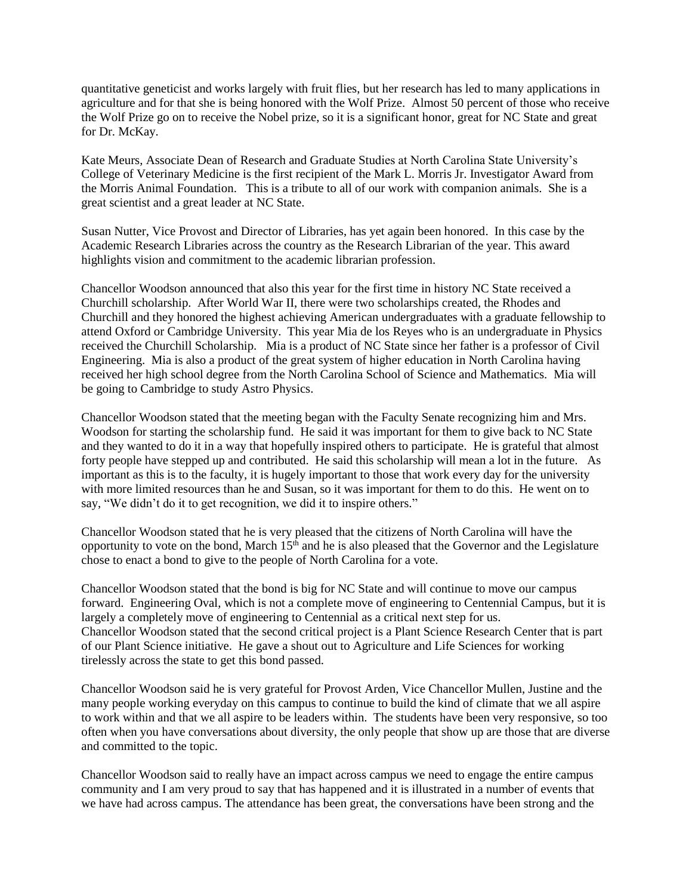quantitative geneticist and works largely with fruit flies, but her research has led to many applications in agriculture and for that she is being honored with the Wolf Prize. Almost 50 percent of those who receive the Wolf Prize go on to receive the Nobel prize, so it is a significant honor, great for NC State and great for Dr. McKay.

Kate Meurs, Associate Dean of Research and Graduate Studies at North Carolina State University's College of Veterinary Medicine is the first recipient of the Mark L. Morris Jr. Investigator Award from the Morris Animal Foundation. This is a tribute to all of our work with companion animals. She is a great scientist and a great leader at NC State.

Susan Nutter, Vice Provost and Director of Libraries, has yet again been honored. In this case by the Academic Research Libraries across the country as the Research Librarian of the year. This award highlights vision and commitment to the academic librarian profession.

Chancellor Woodson announced that also this year for the first time in history NC State received a Churchill scholarship. After World War II, there were two scholarships created, the Rhodes and Churchill and they honored the highest achieving American undergraduates with a graduate fellowship to attend Oxford or Cambridge University. This year Mia de los Reyes who is an undergraduate in Physics received the Churchill Scholarship. Mia is a product of NC State since her father is a professor of Civil Engineering. Mia is also a product of the great system of higher education in North Carolina having received her high school degree from the North Carolina School of Science and Mathematics. Mia will be going to Cambridge to study Astro Physics.

Chancellor Woodson stated that the meeting began with the Faculty Senate recognizing him and Mrs. Woodson for starting the scholarship fund. He said it was important for them to give back to NC State and they wanted to do it in a way that hopefully inspired others to participate. He is grateful that almost forty people have stepped up and contributed. He said this scholarship will mean a lot in the future. As important as this is to the faculty, it is hugely important to those that work every day for the university with more limited resources than he and Susan, so it was important for them to do this. He went on to say, "We didn't do it to get recognition, we did it to inspire others."

Chancellor Woodson stated that he is very pleased that the citizens of North Carolina will have the opportunity to vote on the bond, March  $15<sup>th</sup>$  and he is also pleased that the Governor and the Legislature chose to enact a bond to give to the people of North Carolina for a vote.

Chancellor Woodson stated that the bond is big for NC State and will continue to move our campus forward. Engineering Oval, which is not a complete move of engineering to Centennial Campus, but it is largely a completely move of engineering to Centennial as a critical next step for us. Chancellor Woodson stated that the second critical project is a Plant Science Research Center that is part of our Plant Science initiative. He gave a shout out to Agriculture and Life Sciences for working tirelessly across the state to get this bond passed.

Chancellor Woodson said he is very grateful for Provost Arden, Vice Chancellor Mullen, Justine and the many people working everyday on this campus to continue to build the kind of climate that we all aspire to work within and that we all aspire to be leaders within. The students have been very responsive, so too often when you have conversations about diversity, the only people that show up are those that are diverse and committed to the topic.

Chancellor Woodson said to really have an impact across campus we need to engage the entire campus community and I am very proud to say that has happened and it is illustrated in a number of events that we have had across campus. The attendance has been great, the conversations have been strong and the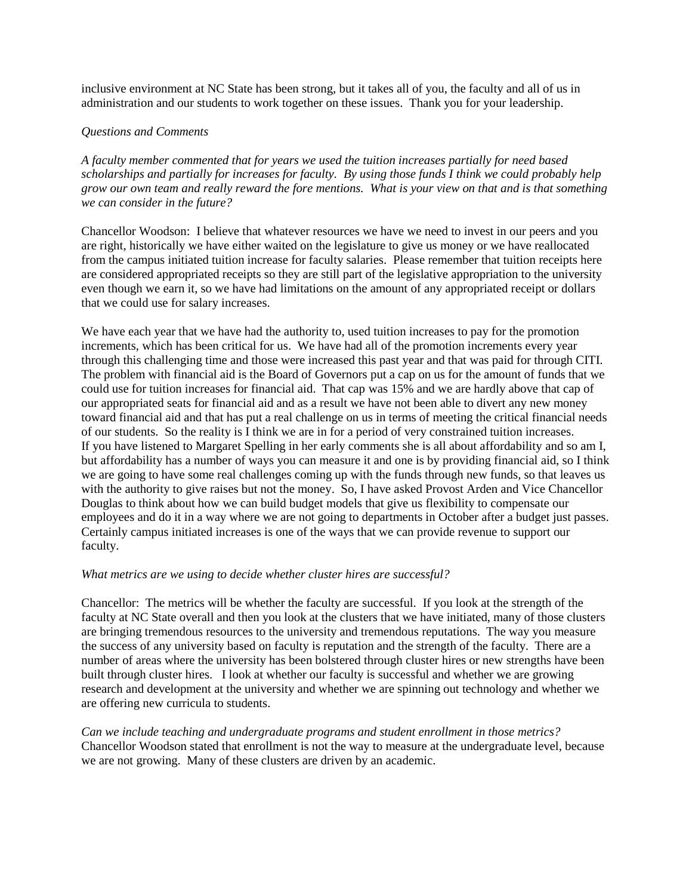inclusive environment at NC State has been strong, but it takes all of you, the faculty and all of us in administration and our students to work together on these issues. Thank you for your leadership.

# *Questions and Comments*

*A faculty member commented that for years we used the tuition increases partially for need based scholarships and partially for increases for faculty. By using those funds I think we could probably help grow our own team and really reward the fore mentions. What is your view on that and is that something we can consider in the future?*

Chancellor Woodson: I believe that whatever resources we have we need to invest in our peers and you are right, historically we have either waited on the legislature to give us money or we have reallocated from the campus initiated tuition increase for faculty salaries. Please remember that tuition receipts here are considered appropriated receipts so they are still part of the legislative appropriation to the university even though we earn it, so we have had limitations on the amount of any appropriated receipt or dollars that we could use for salary increases.

We have each year that we have had the authority to, used tuition increases to pay for the promotion increments, which has been critical for us. We have had all of the promotion increments every year through this challenging time and those were increased this past year and that was paid for through CITI. The problem with financial aid is the Board of Governors put a cap on us for the amount of funds that we could use for tuition increases for financial aid. That cap was 15% and we are hardly above that cap of our appropriated seats for financial aid and as a result we have not been able to divert any new money toward financial aid and that has put a real challenge on us in terms of meeting the critical financial needs of our students. So the reality is I think we are in for a period of very constrained tuition increases. If you have listened to Margaret Spelling in her early comments she is all about affordability and so am I, but affordability has a number of ways you can measure it and one is by providing financial aid, so I think we are going to have some real challenges coming up with the funds through new funds, so that leaves us with the authority to give raises but not the money. So, I have asked Provost Arden and Vice Chancellor Douglas to think about how we can build budget models that give us flexibility to compensate our employees and do it in a way where we are not going to departments in October after a budget just passes. Certainly campus initiated increases is one of the ways that we can provide revenue to support our faculty.

#### *What metrics are we using to decide whether cluster hires are successful?*

Chancellor: The metrics will be whether the faculty are successful. If you look at the strength of the faculty at NC State overall and then you look at the clusters that we have initiated, many of those clusters are bringing tremendous resources to the university and tremendous reputations. The way you measure the success of any university based on faculty is reputation and the strength of the faculty. There are a number of areas where the university has been bolstered through cluster hires or new strengths have been built through cluster hires. I look at whether our faculty is successful and whether we are growing research and development at the university and whether we are spinning out technology and whether we are offering new curricula to students.

*Can we include teaching and undergraduate programs and student enrollment in those metrics?*  Chancellor Woodson stated that enrollment is not the way to measure at the undergraduate level, because we are not growing. Many of these clusters are driven by an academic.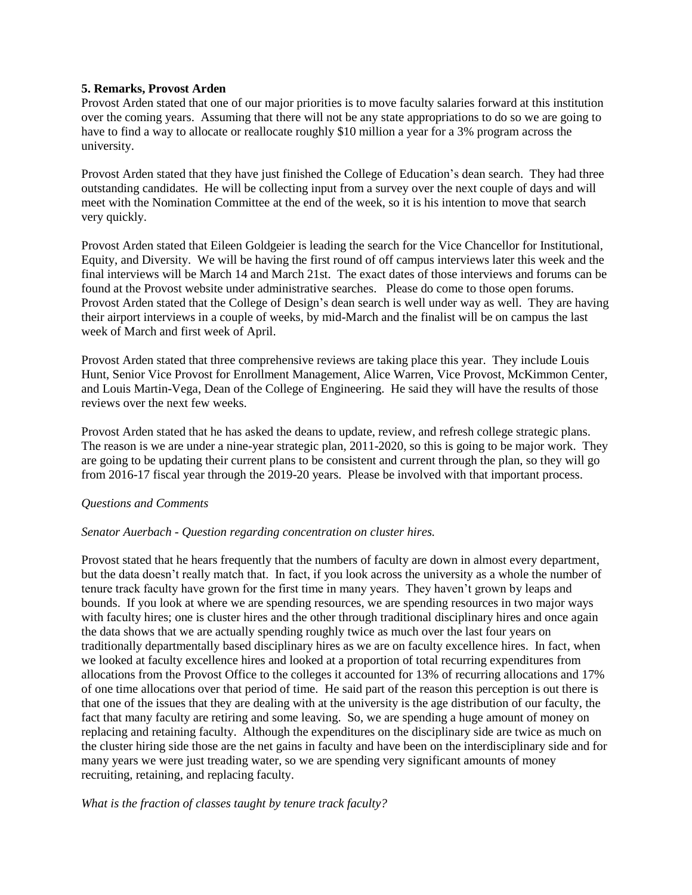#### **5. Remarks, Provost Arden**

Provost Arden stated that one of our major priorities is to move faculty salaries forward at this institution over the coming years. Assuming that there will not be any state appropriations to do so we are going to have to find a way to allocate or reallocate roughly \$10 million a year for a 3% program across the university.

Provost Arden stated that they have just finished the College of Education's dean search. They had three outstanding candidates. He will be collecting input from a survey over the next couple of days and will meet with the Nomination Committee at the end of the week, so it is his intention to move that search very quickly.

Provost Arden stated that Eileen Goldgeier is leading the search for the Vice Chancellor for Institutional, Equity, and Diversity. We will be having the first round of off campus interviews later this week and the final interviews will be March 14 and March 21st. The exact dates of those interviews and forums can be found at the Provost website under administrative searches. Please do come to those open forums. Provost Arden stated that the College of Design's dean search is well under way as well. They are having their airport interviews in a couple of weeks, by mid-March and the finalist will be on campus the last week of March and first week of April.

Provost Arden stated that three comprehensive reviews are taking place this year. They include Louis Hunt, Senior Vice Provost for Enrollment Management, Alice Warren, Vice Provost, McKimmon Center, and Louis Martin-Vega, Dean of the College of Engineering. He said they will have the results of those reviews over the next few weeks.

Provost Arden stated that he has asked the deans to update, review, and refresh college strategic plans. The reason is we are under a nine-year strategic plan, 2011-2020, so this is going to be major work. They are going to be updating their current plans to be consistent and current through the plan, so they will go from 2016-17 fiscal year through the 2019-20 years. Please be involved with that important process.

# *Questions and Comments*

# *Senator Auerbach - Question regarding concentration on cluster hires.*

Provost stated that he hears frequently that the numbers of faculty are down in almost every department, but the data doesn't really match that. In fact, if you look across the university as a whole the number of tenure track faculty have grown for the first time in many years. They haven't grown by leaps and bounds. If you look at where we are spending resources, we are spending resources in two major ways with faculty hires; one is cluster hires and the other through traditional disciplinary hires and once again the data shows that we are actually spending roughly twice as much over the last four years on traditionally departmentally based disciplinary hires as we are on faculty excellence hires. In fact, when we looked at faculty excellence hires and looked at a proportion of total recurring expenditures from allocations from the Provost Office to the colleges it accounted for 13% of recurring allocations and 17% of one time allocations over that period of time. He said part of the reason this perception is out there is that one of the issues that they are dealing with at the university is the age distribution of our faculty, the fact that many faculty are retiring and some leaving. So, we are spending a huge amount of money on replacing and retaining faculty. Although the expenditures on the disciplinary side are twice as much on the cluster hiring side those are the net gains in faculty and have been on the interdisciplinary side and for many years we were just treading water, so we are spending very significant amounts of money recruiting, retaining, and replacing faculty.

#### *What is the fraction of classes taught by tenure track faculty?*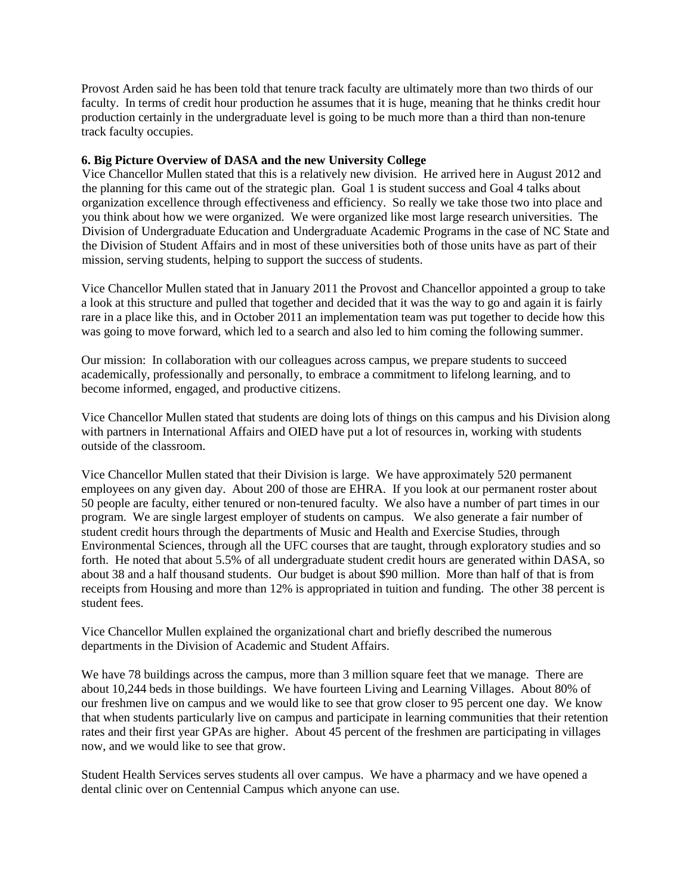Provost Arden said he has been told that tenure track faculty are ultimately more than two thirds of our faculty. In terms of credit hour production he assumes that it is huge, meaning that he thinks credit hour production certainly in the undergraduate level is going to be much more than a third than non-tenure track faculty occupies.

### **6. Big Picture Overview of DASA and the new University College**

Vice Chancellor Mullen stated that this is a relatively new division. He arrived here in August 2012 and the planning for this came out of the strategic plan. Goal 1 is student success and Goal 4 talks about organization excellence through effectiveness and efficiency. So really we take those two into place and you think about how we were organized. We were organized like most large research universities. The Division of Undergraduate Education and Undergraduate Academic Programs in the case of NC State and the Division of Student Affairs and in most of these universities both of those units have as part of their mission, serving students, helping to support the success of students.

Vice Chancellor Mullen stated that in January 2011 the Provost and Chancellor appointed a group to take a look at this structure and pulled that together and decided that it was the way to go and again it is fairly rare in a place like this, and in October 2011 an implementation team was put together to decide how this was going to move forward, which led to a search and also led to him coming the following summer.

Our mission: In collaboration with our colleagues across campus, we prepare students to succeed academically, professionally and personally, to embrace a commitment to lifelong learning, and to become informed, engaged, and productive citizens.

Vice Chancellor Mullen stated that students are doing lots of things on this campus and his Division along with partners in International Affairs and OIED have put a lot of resources in, working with students outside of the classroom.

Vice Chancellor Mullen stated that their Division is large. We have approximately 520 permanent employees on any given day. About 200 of those are EHRA. If you look at our permanent roster about 50 people are faculty, either tenured or non-tenured faculty. We also have a number of part times in our program. We are single largest employer of students on campus. We also generate a fair number of student credit hours through the departments of Music and Health and Exercise Studies, through Environmental Sciences, through all the UFC courses that are taught, through exploratory studies and so forth. He noted that about 5.5% of all undergraduate student credit hours are generated within DASA, so about 38 and a half thousand students. Our budget is about \$90 million. More than half of that is from receipts from Housing and more than 12% is appropriated in tuition and funding. The other 38 percent is student fees.

Vice Chancellor Mullen explained the organizational chart and briefly described the numerous departments in the Division of Academic and Student Affairs.

We have 78 buildings across the campus, more than 3 million square feet that we manage. There are about 10,244 beds in those buildings. We have fourteen Living and Learning Villages. About 80% of our freshmen live on campus and we would like to see that grow closer to 95 percent one day. We know that when students particularly live on campus and participate in learning communities that their retention rates and their first year GPAs are higher. About 45 percent of the freshmen are participating in villages now, and we would like to see that grow.

Student Health Services serves students all over campus. We have a pharmacy and we have opened a dental clinic over on Centennial Campus which anyone can use.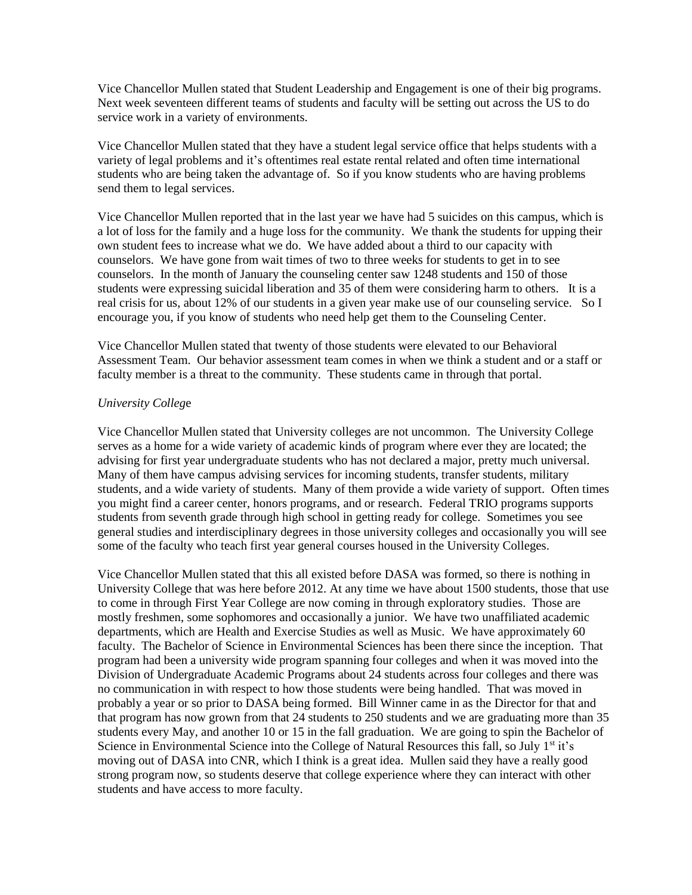Vice Chancellor Mullen stated that Student Leadership and Engagement is one of their big programs. Next week seventeen different teams of students and faculty will be setting out across the US to do service work in a variety of environments.

Vice Chancellor Mullen stated that they have a student legal service office that helps students with a variety of legal problems and it's oftentimes real estate rental related and often time international students who are being taken the advantage of. So if you know students who are having problems send them to legal services.

Vice Chancellor Mullen reported that in the last year we have had 5 suicides on this campus, which is a lot of loss for the family and a huge loss for the community. We thank the students for upping their own student fees to increase what we do. We have added about a third to our capacity with counselors. We have gone from wait times of two to three weeks for students to get in to see counselors. In the month of January the counseling center saw 1248 students and 150 of those students were expressing suicidal liberation and 35 of them were considering harm to others. It is a real crisis for us, about 12% of our students in a given year make use of our counseling service. So I encourage you, if you know of students who need help get them to the Counseling Center.

Vice Chancellor Mullen stated that twenty of those students were elevated to our Behavioral Assessment Team. Our behavior assessment team comes in when we think a student and or a staff or faculty member is a threat to the community. These students came in through that portal.

#### *University Colleg*e

Vice Chancellor Mullen stated that University colleges are not uncommon. The University College serves as a home for a wide variety of academic kinds of program where ever they are located; the advising for first year undergraduate students who has not declared a major, pretty much universal. Many of them have campus advising services for incoming students, transfer students, military students, and a wide variety of students. Many of them provide a wide variety of support. Often times you might find a career center, honors programs, and or research. Federal TRIO programs supports students from seventh grade through high school in getting ready for college. Sometimes you see general studies and interdisciplinary degrees in those university colleges and occasionally you will see some of the faculty who teach first year general courses housed in the University Colleges.

Vice Chancellor Mullen stated that this all existed before DASA was formed, so there is nothing in University College that was here before 2012. At any time we have about 1500 students, those that use to come in through First Year College are now coming in through exploratory studies. Those are mostly freshmen, some sophomores and occasionally a junior. We have two unaffiliated academic departments, which are Health and Exercise Studies as well as Music. We have approximately 60 faculty. The Bachelor of Science in Environmental Sciences has been there since the inception. That program had been a university wide program spanning four colleges and when it was moved into the Division of Undergraduate Academic Programs about 24 students across four colleges and there was no communication in with respect to how those students were being handled. That was moved in probably a year or so prior to DASA being formed. Bill Winner came in as the Director for that and that program has now grown from that 24 students to 250 students and we are graduating more than 35 students every May, and another 10 or 15 in the fall graduation. We are going to spin the Bachelor of Science in Environmental Science into the College of Natural Resources this fall, so July 1<sup>st</sup> it's moving out of DASA into CNR, which I think is a great idea. Mullen said they have a really good strong program now, so students deserve that college experience where they can interact with other students and have access to more faculty.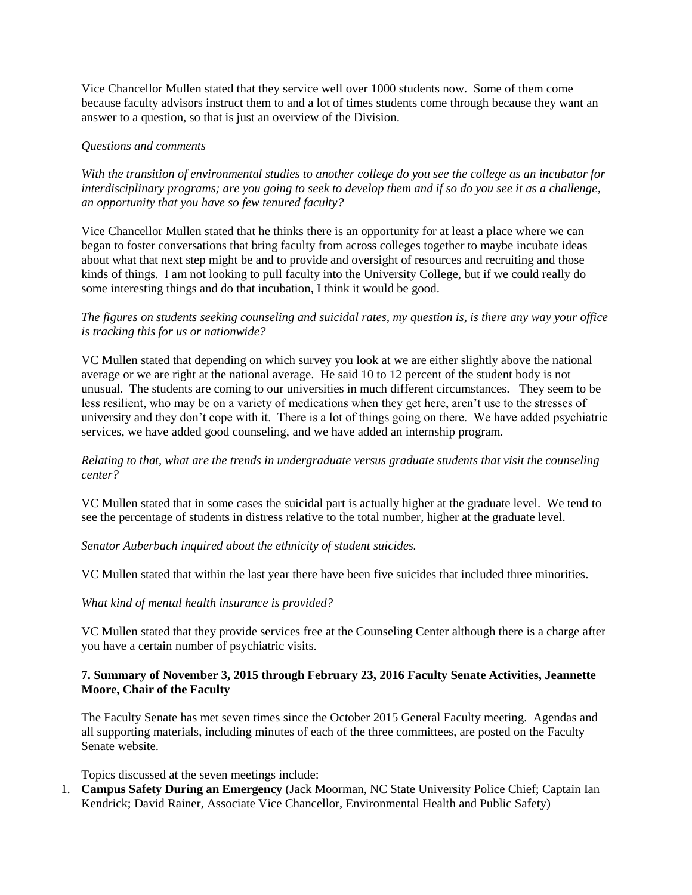Vice Chancellor Mullen stated that they service well over 1000 students now. Some of them come because faculty advisors instruct them to and a lot of times students come through because they want an answer to a question, so that is just an overview of the Division.

# *Questions and comments*

*With the transition of environmental studies to another college do you see the college as an incubator for interdisciplinary programs; are you going to seek to develop them and if so do you see it as a challenge, an opportunity that you have so few tenured faculty?*

Vice Chancellor Mullen stated that he thinks there is an opportunity for at least a place where we can began to foster conversations that bring faculty from across colleges together to maybe incubate ideas about what that next step might be and to provide and oversight of resources and recruiting and those kinds of things. I am not looking to pull faculty into the University College, but if we could really do some interesting things and do that incubation, I think it would be good.

# *The figures on students seeking counseling and suicidal rates, my question is, is there any way your office is tracking this for us or nationwide?*

VC Mullen stated that depending on which survey you look at we are either slightly above the national average or we are right at the national average. He said 10 to 12 percent of the student body is not unusual. The students are coming to our universities in much different circumstances. They seem to be less resilient, who may be on a variety of medications when they get here, aren't use to the stresses of university and they don't cope with it. There is a lot of things going on there. We have added psychiatric services, we have added good counseling, and we have added an internship program.

# *Relating to that, what are the trends in undergraduate versus graduate students that visit the counseling center?*

VC Mullen stated that in some cases the suicidal part is actually higher at the graduate level. We tend to see the percentage of students in distress relative to the total number, higher at the graduate level.

# *Senator Auberbach inquired about the ethnicity of student suicides.*

VC Mullen stated that within the last year there have been five suicides that included three minorities.

# *What kind of mental health insurance is provided?*

VC Mullen stated that they provide services free at the Counseling Center although there is a charge after you have a certain number of psychiatric visits.

# **7. Summary of November 3, 2015 through February 23, 2016 Faculty Senate Activities, Jeannette Moore, Chair of the Faculty**

The Faculty Senate has met seven times since the October 2015 General Faculty meeting. Agendas and all supporting materials, including minutes of each of the three committees, are posted on the Faculty Senate website.

Topics discussed at the seven meetings include:

1. **Campus Safety During an Emergency** (Jack Moorman, NC State University Police Chief; Captain Ian Kendrick; David Rainer, Associate Vice Chancellor, Environmental Health and Public Safety)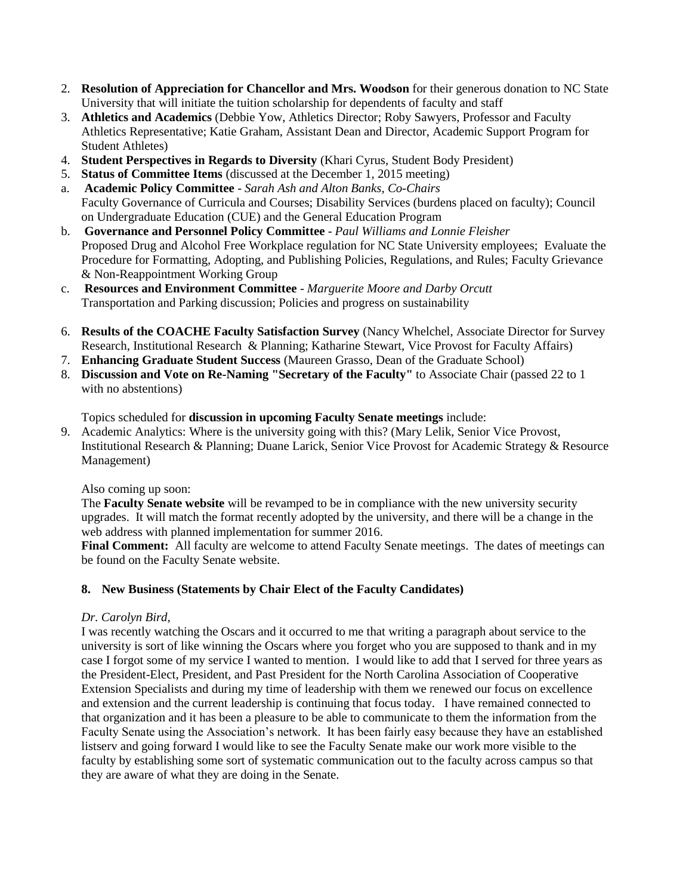- 2. **Resolution of Appreciation for Chancellor and Mrs. Woodson** for their generous donation to NC State University that will initiate the tuition scholarship for dependents of faculty and staff
- 3. **Athletics and Academics** (Debbie Yow, Athletics Director; Roby Sawyers, Professor and Faculty Athletics Representative; Katie Graham, Assistant Dean and Director, Academic Support Program for Student Athletes)
- 4. **Student Perspectives in Regards to Diversity** (Khari Cyrus, Student Body President)
- 5. **Status of Committee Items** (discussed at the December 1, 2015 meeting)
- a. **Academic Policy Committee** *Sarah Ash and Alton Banks, Co-Chairs* Faculty Governance of Curricula and Courses; Disability Services (burdens placed on faculty); Council on Undergraduate Education (CUE) and the General Education Program
- b. **Governance and Personnel Policy Committee** *Paul Williams and Lonnie Fleisher* Proposed Drug and Alcohol Free Workplace regulation for NC State University employees; Evaluate the Procedure for Formatting, Adopting, and Publishing Policies, Regulations, and Rules; Faculty Grievance & Non-Reappointment Working Group
- c. **Resources and Environment Committee** *Marguerite Moore and Darby Orcutt* Transportation and Parking discussion; Policies and progress on sustainability
- 6. **Results of the COACHE Faculty Satisfaction Survey** (Nancy Whelchel, Associate Director for Survey Research, Institutional Research & Planning; Katharine Stewart, Vice Provost for Faculty Affairs)
- 7. **Enhancing Graduate Student Success** (Maureen Grasso, Dean of the Graduate School)
- 8. **Discussion and Vote on Re-Naming "Secretary of the Faculty"** to Associate Chair (passed 22 to 1 with no abstentions)

Topics scheduled for **discussion in upcoming Faculty Senate meetings** include:

9. Academic Analytics: Where is the university going with this? (Mary Lelik, Senior Vice Provost, Institutional Research & Planning; Duane Larick, Senior Vice Provost for Academic Strategy & Resource Management)

Also coming up soon:

The **Faculty Senate website** will be revamped to be in compliance with the new university security upgrades. It will match the format recently adopted by the university, and there will be a change in the web address with planned implementation for summer 2016.

**Final Comment:** All faculty are welcome to attend Faculty Senate meetings. The dates of meetings can be found on the Faculty Senate website.

# **8. New Business (Statements by Chair Elect of the Faculty Candidates)**

# *Dr. Carolyn Bird,*

I was recently watching the Oscars and it occurred to me that writing a paragraph about service to the university is sort of like winning the Oscars where you forget who you are supposed to thank and in my case I forgot some of my service I wanted to mention. I would like to add that I served for three years as the President-Elect, President, and Past President for the North Carolina Association of Cooperative Extension Specialists and during my time of leadership with them we renewed our focus on excellence and extension and the current leadership is continuing that focus today. I have remained connected to that organization and it has been a pleasure to be able to communicate to them the information from the Faculty Senate using the Association's network. It has been fairly easy because they have an established listserv and going forward I would like to see the Faculty Senate make our work more visible to the faculty by establishing some sort of systematic communication out to the faculty across campus so that they are aware of what they are doing in the Senate.